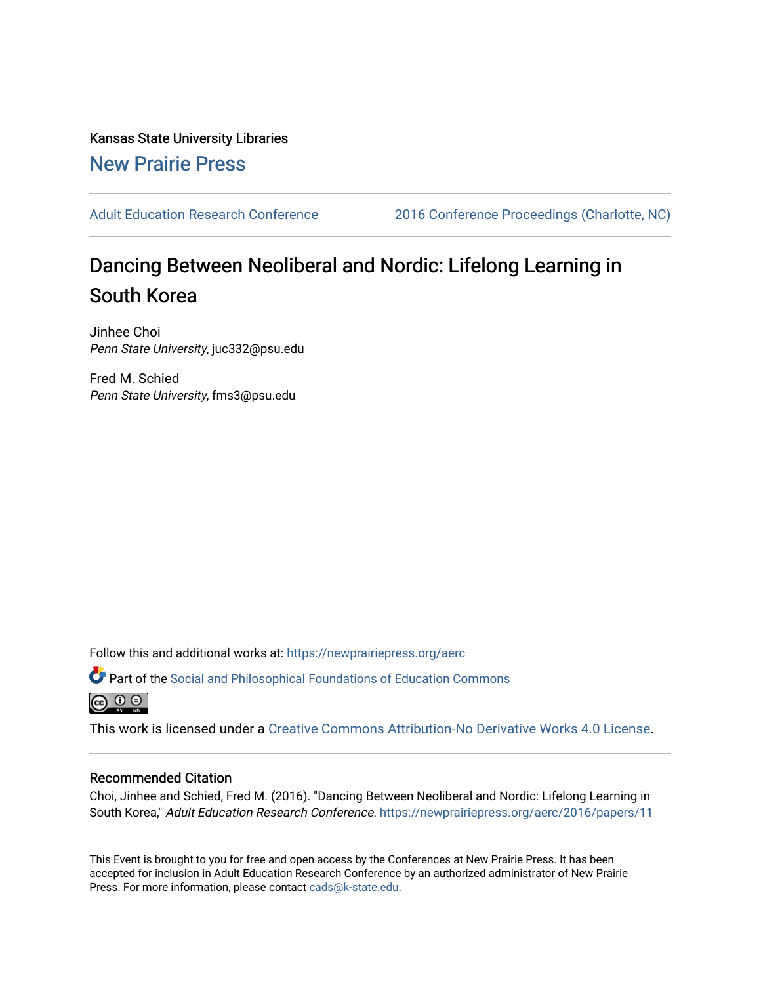Kansas State University Libraries [New Prairie Press](https://newprairiepress.org/) 

[Adult Education Research Conference](https://newprairiepress.org/aerc) [2016 Conference Proceedings \(Charlotte, NC\)](https://newprairiepress.org/aerc/2016) 

# Dancing Between Neoliberal and Nordic: Lifelong Learning in South Korea

Jinhee Choi Penn State University, juc332@psu.edu

Fred M. Schied Penn State University, fms3@psu.edu

Follow this and additional works at: [https://newprairiepress.org/aerc](https://newprairiepress.org/aerc?utm_source=newprairiepress.org%2Faerc%2F2016%2Fpapers%2F11&utm_medium=PDF&utm_campaign=PDFCoverPages)

Part of the [Social and Philosophical Foundations of Education Commons](http://network.bepress.com/hgg/discipline/799?utm_source=newprairiepress.org%2Faerc%2F2016%2Fpapers%2F11&utm_medium=PDF&utm_campaign=PDFCoverPages)   $\bigcirc$   $\bigcirc$   $\bigcirc$ 

This work is licensed under a [Creative Commons Attribution-No Derivative Works 4.0 License.](https://creativecommons.org/licenses/by-nd/4.0/)

## Recommended Citation

Choi, Jinhee and Schied, Fred M. (2016). "Dancing Between Neoliberal and Nordic: Lifelong Learning in South Korea," Adult Education Research Conference. <https://newprairiepress.org/aerc/2016/papers/11>

This Event is brought to you for free and open access by the Conferences at New Prairie Press. It has been accepted for inclusion in Adult Education Research Conference by an authorized administrator of New Prairie Press. For more information, please contact [cads@k-state.edu.](mailto:cads@k-state.edu)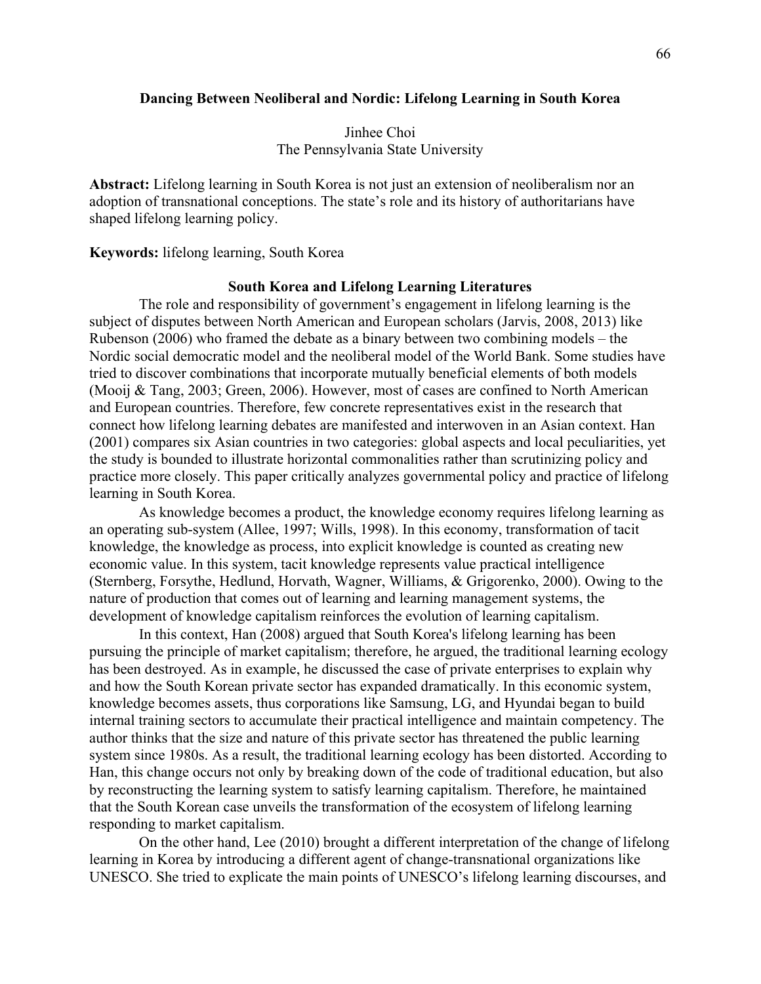## **Dancing Between Neoliberal and Nordic: Lifelong Learning in South Korea**

Jinhee Choi The Pennsylvania State University

**Abstract:** Lifelong learning in South Korea is not just an extension of neoliberalism nor an adoption of transnational conceptions. The state's role and its history of authoritarians have shaped lifelong learning policy.

**Keywords:** lifelong learning, South Korea

#### **South Korea and Lifelong Learning Literatures**

The role and responsibility of government's engagement in lifelong learning is the subject of disputes between North American and European scholars (Jarvis, 2008, 2013) like Rubenson (2006) who framed the debate as a binary between two combining models – the Nordic social democratic model and the neoliberal model of the World Bank. Some studies have tried to discover combinations that incorporate mutually beneficial elements of both models (Mooij & Tang, 2003; Green, 2006). However, most of cases are confined to North American and European countries. Therefore, few concrete representatives exist in the research that connect how lifelong learning debates are manifested and interwoven in an Asian context. Han (2001) compares six Asian countries in two categories: global aspects and local peculiarities, yet the study is bounded to illustrate horizontal commonalities rather than scrutinizing policy and practice more closely. This paper critically analyzes governmental policy and practice of lifelong learning in South Korea.

As knowledge becomes a product, the knowledge economy requires lifelong learning as an operating sub-system (Allee, 1997; Wills, 1998). In this economy, transformation of tacit knowledge, the knowledge as process, into explicit knowledge is counted as creating new economic value. In this system, tacit knowledge represents value practical intelligence (Sternberg, Forsythe, Hedlund, Horvath, Wagner, Williams, & Grigorenko, 2000). Owing to the nature of production that comes out of learning and learning management systems, the development of knowledge capitalism reinforces the evolution of learning capitalism.

In this context, Han (2008) argued that South Korea's lifelong learning has been pursuing the principle of market capitalism; therefore, he argued, the traditional learning ecology has been destroyed. As in example, he discussed the case of private enterprises to explain why and how the South Korean private sector has expanded dramatically. In this economic system, knowledge becomes assets, thus corporations like Samsung, LG, and Hyundai began to build internal training sectors to accumulate their practical intelligence and maintain competency. The author thinks that the size and nature of this private sector has threatened the public learning system since 1980s. As a result, the traditional learning ecology has been distorted. According to Han, this change occurs not only by breaking down of the code of traditional education, but also by reconstructing the learning system to satisfy learning capitalism. Therefore, he maintained that the South Korean case unveils the transformation of the ecosystem of lifelong learning responding to market capitalism.

On the other hand, Lee (2010) brought a different interpretation of the change of lifelong learning in Korea by introducing a different agent of change-transnational organizations like UNESCO. She tried to explicate the main points of UNESCO's lifelong learning discourses, and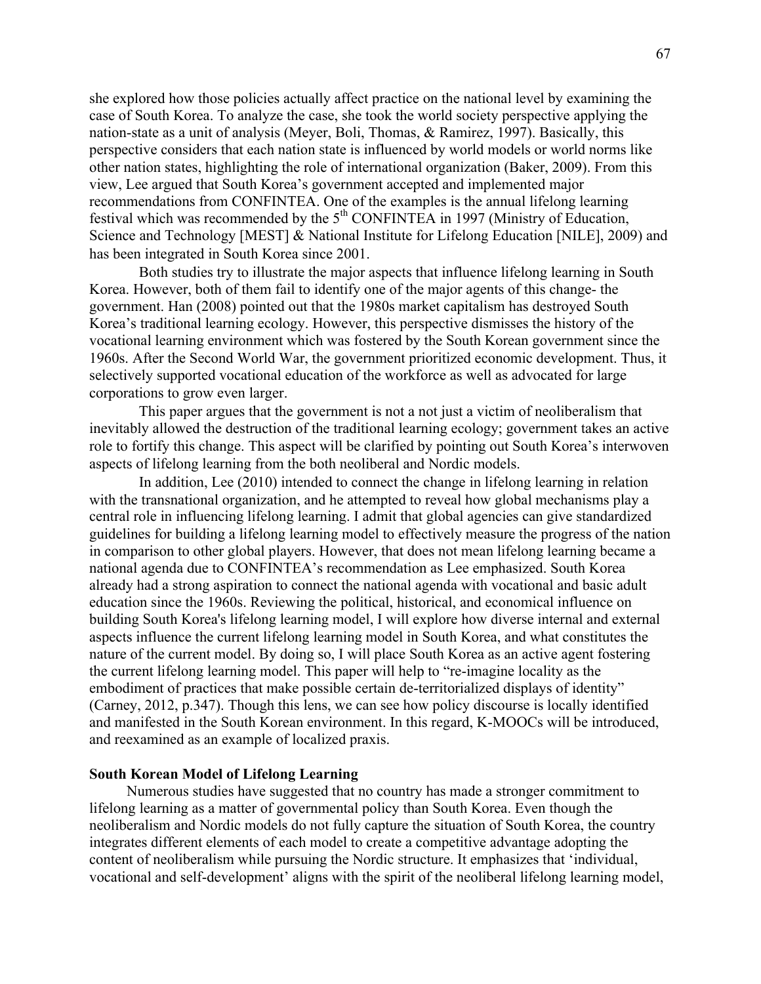she explored how those policies actually affect practice on the national level by examining the case of South Korea. To analyze the case, she took the world society perspective applying the nation-state as a unit of analysis (Meyer, Boli, Thomas, & Ramirez, 1997). Basically, this perspective considers that each nation state is influenced by world models or world norms like other nation states, highlighting the role of international organization (Baker, 2009). From this view, Lee argued that South Korea's government accepted and implemented major recommendations from CONFINTEA. One of the examples is the annual lifelong learning festival which was recommended by the 5th CONFINTEA in 1997 (Ministry of Education, Science and Technology [MEST] & National Institute for Lifelong Education [NILE], 2009) and has been integrated in South Korea since 2001.

Both studies try to illustrate the major aspects that influence lifelong learning in South Korea. However, both of them fail to identify one of the major agents of this change- the government. Han (2008) pointed out that the 1980s market capitalism has destroyed South Korea's traditional learning ecology. However, this perspective dismisses the history of the vocational learning environment which was fostered by the South Korean government since the 1960s. After the Second World War, the government prioritized economic development. Thus, it selectively supported vocational education of the workforce as well as advocated for large corporations to grow even larger.

This paper argues that the government is not a not just a victim of neoliberalism that inevitably allowed the destruction of the traditional learning ecology; government takes an active role to fortify this change. This aspect will be clarified by pointing out South Korea's interwoven aspects of lifelong learning from the both neoliberal and Nordic models.

In addition, Lee (2010) intended to connect the change in lifelong learning in relation with the transnational organization, and he attempted to reveal how global mechanisms play a central role in influencing lifelong learning. I admit that global agencies can give standardized guidelines for building a lifelong learning model to effectively measure the progress of the nation in comparison to other global players. However, that does not mean lifelong learning became a national agenda due to CONFINTEA's recommendation as Lee emphasized. South Korea already had a strong aspiration to connect the national agenda with vocational and basic adult education since the 1960s. Reviewing the political, historical, and economical influence on building South Korea's lifelong learning model, I will explore how diverse internal and external aspects influence the current lifelong learning model in South Korea, and what constitutes the nature of the current model. By doing so, I will place South Korea as an active agent fostering the current lifelong learning model. This paper will help to "re-imagine locality as the embodiment of practices that make possible certain de-territorialized displays of identity" (Carney, 2012, p.347). Though this lens, we can see how policy discourse is locally identified and manifested in the South Korean environment. In this regard, K-MOOCs will be introduced, and reexamined as an example of localized praxis.

### **South Korean Model of Lifelong Learning**

Numerous studies have suggested that no country has made a stronger commitment to lifelong learning as a matter of governmental policy than South Korea. Even though the neoliberalism and Nordic models do not fully capture the situation of South Korea, the country integrates different elements of each model to create a competitive advantage adopting the content of neoliberalism while pursuing the Nordic structure. It emphasizes that 'individual, vocational and self-development' aligns with the spirit of the neoliberal lifelong learning model,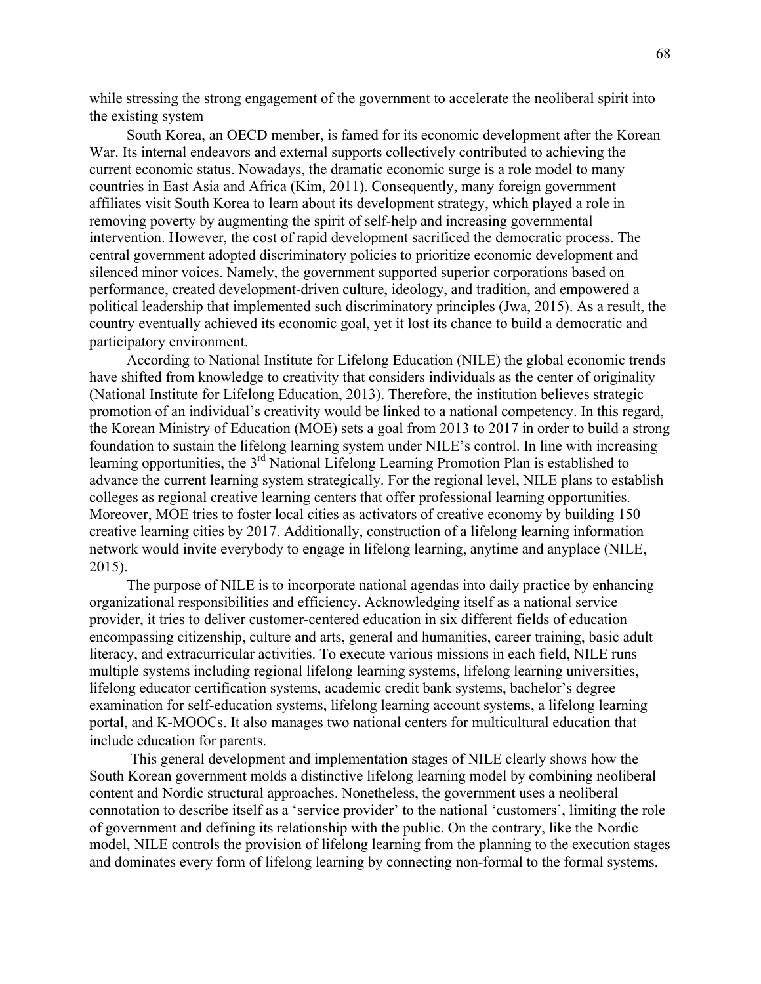while stressing the strong engagement of the government to accelerate the neoliberal spirit into the existing system

South Korea, an OECD member, is famed for its economic development after the Korean War. Its internal endeavors and external supports collectively contributed to achieving the current economic status. Nowadays, the dramatic economic surge is a role model to many countries in East Asia and Africa (Kim, 2011). Consequently, many foreign government affiliates visit South Korea to learn about its development strategy, which played a role in removing poverty by augmenting the spirit of self-help and increasing governmental intervention. However, the cost of rapid development sacrificed the democratic process. The central government adopted discriminatory policies to prioritize economic development and silenced minor voices. Namely, the government supported superior corporations based on performance, created development-driven culture, ideology, and tradition, and empowered a political leadership that implemented such discriminatory principles (Jwa, 2015). As a result, the country eventually achieved its economic goal, yet it lost its chance to build a democratic and participatory environment.

According to National Institute for Lifelong Education (NILE) the global economic trends have shifted from knowledge to creativity that considers individuals as the center of originality (National Institute for Lifelong Education, 2013). Therefore, the institution believes strategic promotion of an individual's creativity would be linked to a national competency. In this regard, the Korean Ministry of Education (MOE) sets a goal from 2013 to 2017 in order to build a strong foundation to sustain the lifelong learning system under NILE's control. In line with increasing learning opportunities, the 3<sup>rd</sup> National Lifelong Learning Promotion Plan is established to advance the current learning system strategically. For the regional level, NILE plans to establish colleges as regional creative learning centers that offer professional learning opportunities. Moreover, MOE tries to foster local cities as activators of creative economy by building 150 creative learning cities by 2017. Additionally, construction of a lifelong learning information network would invite everybody to engage in lifelong learning, anytime and anyplace (NILE, 2015).

The purpose of NILE is to incorporate national agendas into daily practice by enhancing organizational responsibilities and efficiency. Acknowledging itself as a national service provider, it tries to deliver customer-centered education in six different fields of education encompassing citizenship, culture and arts, general and humanities, career training, basic adult literacy, and extracurricular activities. To execute various missions in each field, NILE runs multiple systems including regional lifelong learning systems, lifelong learning universities, lifelong educator certification systems, academic credit bank systems, bachelor's degree examination for self-education systems, lifelong learning account systems, a lifelong learning portal, and K-MOOCs. It also manages two national centers for multicultural education that include education for parents.

This general development and implementation stages of NILE clearly shows how the South Korean government molds a distinctive lifelong learning model by combining neoliberal content and Nordic structural approaches. Nonetheless, the government uses a neoliberal connotation to describe itself as a 'service provider' to the national 'customers', limiting the role of government and defining its relationship with the public. On the contrary, like the Nordic model, NILE controls the provision of lifelong learning from the planning to the execution stages and dominates every form of lifelong learning by connecting non-formal to the formal systems.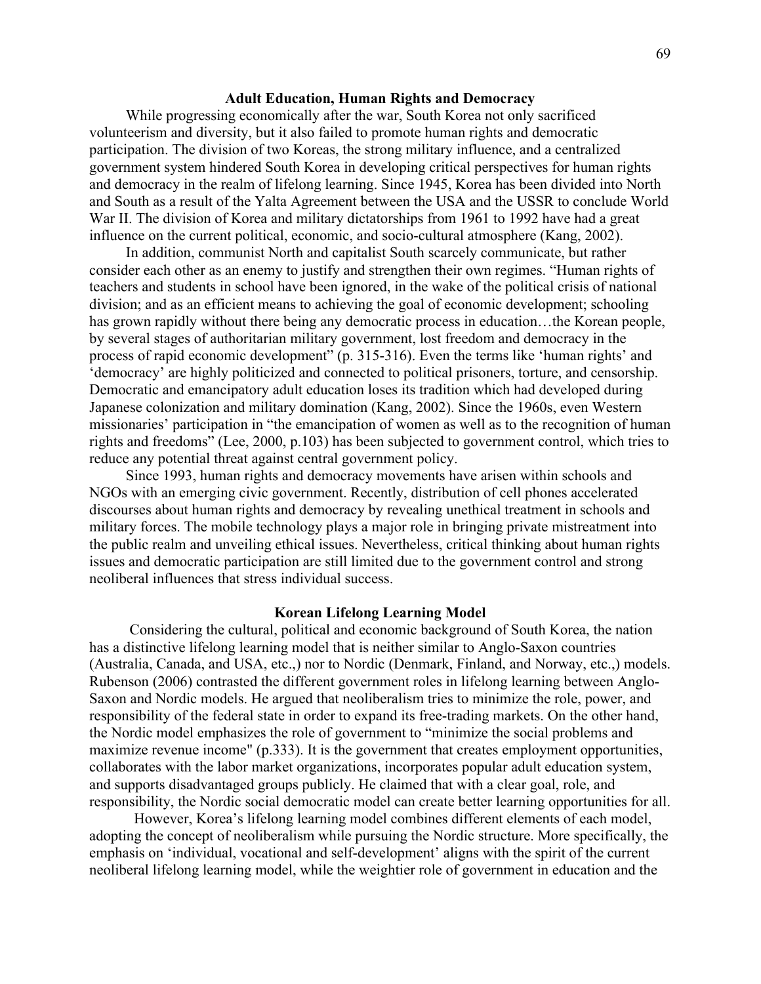#### **Adult Education, Human Rights and Democracy**

While progressing economically after the war, South Korea not only sacrificed volunteerism and diversity, but it also failed to promote human rights and democratic participation. The division of two Koreas, the strong military influence, and a centralized government system hindered South Korea in developing critical perspectives for human rights and democracy in the realm of lifelong learning. Since 1945, Korea has been divided into North and South as a result of the Yalta Agreement between the USA and the USSR to conclude World War II. The division of Korea and military dictatorships from 1961 to 1992 have had a great influence on the current political, economic, and socio-cultural atmosphere (Kang, 2002).

In addition, communist North and capitalist South scarcely communicate, but rather consider each other as an enemy to justify and strengthen their own regimes. "Human rights of teachers and students in school have been ignored, in the wake of the political crisis of national division; and as an efficient means to achieving the goal of economic development; schooling has grown rapidly without there being any democratic process in education...the Korean people, by several stages of authoritarian military government, lost freedom and democracy in the process of rapid economic development" (p. 315-316). Even the terms like 'human rights' and 'democracy' are highly politicized and connected to political prisoners, torture, and censorship. Democratic and emancipatory adult education loses its tradition which had developed during Japanese colonization and military domination (Kang, 2002). Since the 1960s, even Western missionaries' participation in "the emancipation of women as well as to the recognition of human rights and freedoms" (Lee, 2000, p.103) has been subjected to government control, which tries to reduce any potential threat against central government policy.

Since 1993, human rights and democracy movements have arisen within schools and NGOs with an emerging civic government. Recently, distribution of cell phones accelerated discourses about human rights and democracy by revealing unethical treatment in schools and military forces. The mobile technology plays a major role in bringing private mistreatment into the public realm and unveiling ethical issues. Nevertheless, critical thinking about human rights issues and democratic participation are still limited due to the government control and strong neoliberal influences that stress individual success.

#### **Korean Lifelong Learning Model**

Considering the cultural, political and economic background of South Korea, the nation has a distinctive lifelong learning model that is neither similar to Anglo-Saxon countries (Australia, Canada, and USA, etc.,) nor to Nordic (Denmark, Finland, and Norway, etc.,) models. Rubenson (2006) contrasted the different government roles in lifelong learning between Anglo-Saxon and Nordic models. He argued that neoliberalism tries to minimize the role, power, and responsibility of the federal state in order to expand its free-trading markets. On the other hand, the Nordic model emphasizes the role of government to "minimize the social problems and maximize revenue income" (p.333). It is the government that creates employment opportunities, collaborates with the labor market organizations, incorporates popular adult education system, and supports disadvantaged groups publicly. He claimed that with a clear goal, role, and responsibility, the Nordic social democratic model can create better learning opportunities for all.

However, Korea's lifelong learning model combines different elements of each model, adopting the concept of neoliberalism while pursuing the Nordic structure. More specifically, the emphasis on 'individual, vocational and self-development' aligns with the spirit of the current neoliberal lifelong learning model, while the weightier role of government in education and the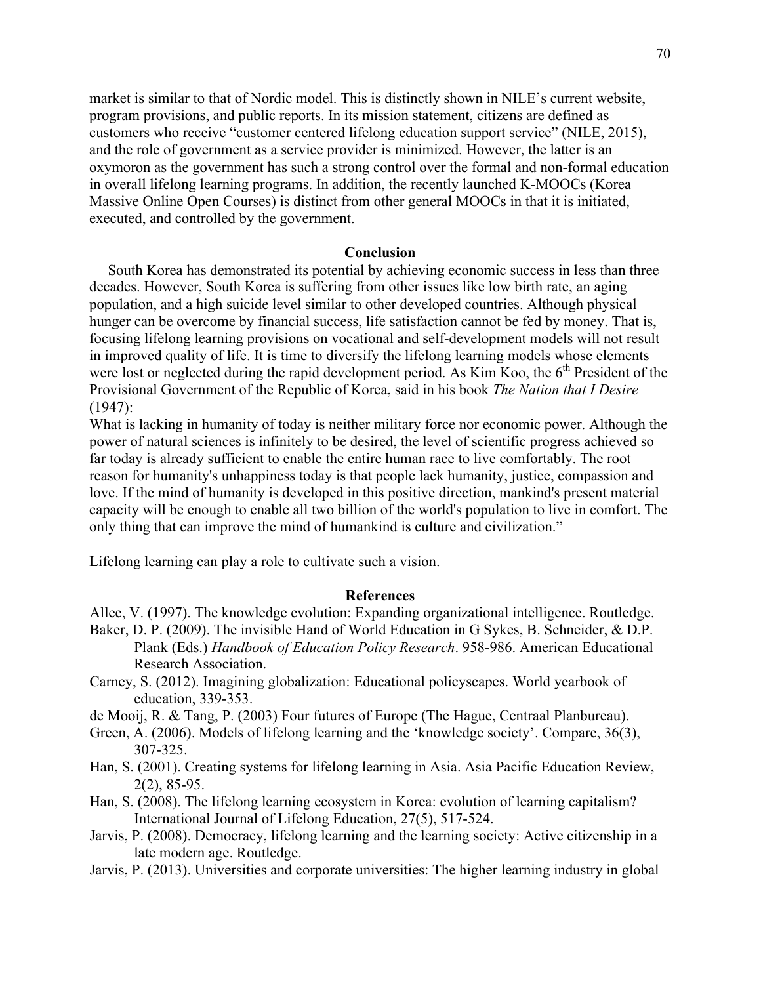market is similar to that of Nordic model. This is distinctly shown in NILE's current website, program provisions, and public reports. In its mission statement, citizens are defined as customers who receive "customer centered lifelong education support service" (NILE, 2015), and the role of government as a service provider is minimized. However, the latter is an oxymoron as the government has such a strong control over the formal and non-formal education in overall lifelong learning programs. In addition, the recently launched K-MOOCs (Korea Massive Online Open Courses) is distinct from other general MOOCs in that it is initiated, executed, and controlled by the government.

#### **Conclusion**

 South Korea has demonstrated its potential by achieving economic success in less than three decades. However, South Korea is suffering from other issues like low birth rate, an aging population, and a high suicide level similar to other developed countries. Although physical hunger can be overcome by financial success, life satisfaction cannot be fed by money. That is, focusing lifelong learning provisions on vocational and self-development models will not result in improved quality of life. It is time to diversify the lifelong learning models whose elements were lost or neglected during the rapid development period. As Kim Koo, the  $6<sup>th</sup>$  President of the Provisional Government of the Republic of Korea, said in his book *The Nation that I Desire* (1947):

What is lacking in humanity of today is neither military force nor economic power. Although the power of natural sciences is infinitely to be desired, the level of scientific progress achieved so far today is already sufficient to enable the entire human race to live comfortably. The root reason for humanity's unhappiness today is that people lack humanity, justice, compassion and love. If the mind of humanity is developed in this positive direction, mankind's present material capacity will be enough to enable all two billion of the world's population to live in comfort. The only thing that can improve the mind of humankind is culture and civilization."

Lifelong learning can play a role to cultivate such a vision.

## **References**

Allee, V. (1997). The knowledge evolution: Expanding organizational intelligence. Routledge.

- Baker, D. P. (2009). The invisible Hand of World Education in G Sykes, B. Schneider, & D.P. Plank (Eds.) *Handbook of Education Policy Research*. 958-986. American Educational Research Association.
- Carney, S. (2012). Imagining globalization: Educational policyscapes. World yearbook of education, 339-353.
- de Mooij, R. & Tang, P. (2003) Four futures of Europe (The Hague, Centraal Planbureau).
- Green, A. (2006). Models of lifelong learning and the 'knowledge society'. Compare, 36(3), 307-325.
- Han, S. (2001). Creating systems for lifelong learning in Asia. Asia Pacific Education Review, 2(2), 85-95.
- Han, S. (2008). The lifelong learning ecosystem in Korea: evolution of learning capitalism? International Journal of Lifelong Education, 27(5), 517-524.
- Jarvis, P. (2008). Democracy, lifelong learning and the learning society: Active citizenship in a late modern age. Routledge.
- Jarvis, P. (2013). Universities and corporate universities: The higher learning industry in global